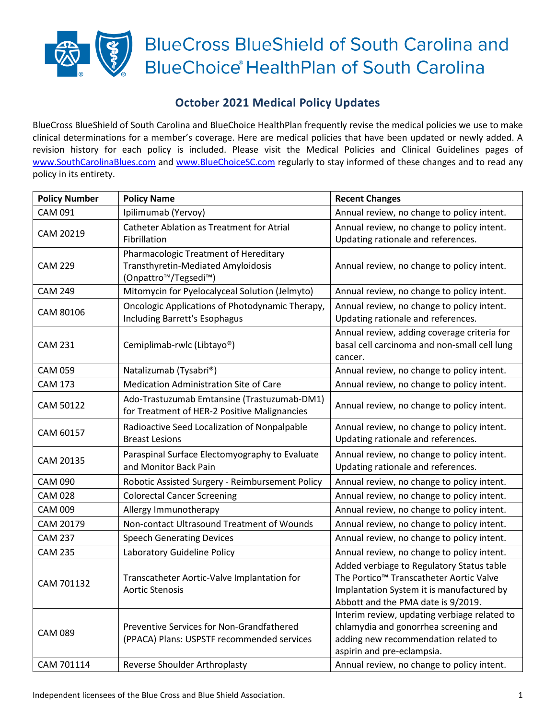## **BlueCross BlueShield of South Carolina and BlueChoice HealthPlan of South Carolina**

## **October 2021 Medical Policy Updates**

BlueCross BlueShield of South Carolina and BlueChoice HealthPlan frequently revise the medical policies we use to make clinical determinations for a member's coverage. Here are medical policies that have been updated or newly added. A revision history for each policy is included. Please visit the Medical Policies and Clinical Guidelines pages of [www.SouthCarolinaBlues.com](http://www.southcarolinablues.com/) and [www.BlueChoiceSC.com](http://www.bluechoicesc.com/) regularly to stay informed of these changes and to read any policy in its entirety.

| <b>Policy Number</b> | <b>Policy Name</b>                                                                                                            | <b>Recent Changes</b>                                                                                                                                                   |
|----------------------|-------------------------------------------------------------------------------------------------------------------------------|-------------------------------------------------------------------------------------------------------------------------------------------------------------------------|
| <b>CAM 091</b>       | Ipilimumab (Yervoy)                                                                                                           | Annual review, no change to policy intent.                                                                                                                              |
| CAM 20219            | <b>Catheter Ablation as Treatment for Atrial</b>                                                                              | Annual review, no change to policy intent.                                                                                                                              |
|                      | Fibrillation                                                                                                                  | Updating rationale and references.                                                                                                                                      |
| <b>CAM 229</b>       | Pharmacologic Treatment of Hereditary<br>Transthyretin-Mediated Amyloidosis<br>(Onpattro <sup>™</sup> /Tegsedi <sup>™</sup> ) | Annual review, no change to policy intent.                                                                                                                              |
| <b>CAM 249</b>       | Mitomycin for Pyelocalyceal Solution (Jelmyto)                                                                                | Annual review, no change to policy intent.                                                                                                                              |
| CAM 80106            | Oncologic Applications of Photodynamic Therapy,<br>Including Barrett's Esophagus                                              | Annual review, no change to policy intent.<br>Updating rationale and references.                                                                                        |
| <b>CAM 231</b>       | Cemiplimab-rwlc (Libtayo®)                                                                                                    | Annual review, adding coverage criteria for<br>basal cell carcinoma and non-small cell lung<br>cancer.                                                                  |
| <b>CAM 059</b>       | Natalizumab (Tysabri®)                                                                                                        | Annual review, no change to policy intent.                                                                                                                              |
| <b>CAM 173</b>       | <b>Medication Administration Site of Care</b>                                                                                 | Annual review, no change to policy intent.                                                                                                                              |
| CAM 50122            | Ado-Trastuzumab Emtansine (Trastuzumab-DM1)<br>for Treatment of HER-2 Positive Malignancies                                   | Annual review, no change to policy intent.                                                                                                                              |
| CAM 60157            | Radioactive Seed Localization of Nonpalpable<br><b>Breast Lesions</b>                                                         | Annual review, no change to policy intent.<br>Updating rationale and references.                                                                                        |
| CAM 20135            | Paraspinal Surface Electomyography to Evaluate<br>and Monitor Back Pain                                                       | Annual review, no change to policy intent.<br>Updating rationale and references.                                                                                        |
| <b>CAM 090</b>       | Robotic Assisted Surgery - Reimbursement Policy                                                                               | Annual review, no change to policy intent.                                                                                                                              |
| <b>CAM 028</b>       | <b>Colorectal Cancer Screening</b>                                                                                            | Annual review, no change to policy intent.                                                                                                                              |
| <b>CAM 009</b>       | Allergy Immunotherapy                                                                                                         | Annual review, no change to policy intent.                                                                                                                              |
| CAM 20179            | Non-contact Ultrasound Treatment of Wounds                                                                                    | Annual review, no change to policy intent.                                                                                                                              |
| <b>CAM 237</b>       | <b>Speech Generating Devices</b>                                                                                              | Annual review, no change to policy intent.                                                                                                                              |
| <b>CAM 235</b>       | Laboratory Guideline Policy                                                                                                   | Annual review, no change to policy intent.                                                                                                                              |
| CAM 701132           | Transcatheter Aortic-Valve Implantation for<br><b>Aortic Stenosis</b>                                                         | Added verbiage to Regulatory Status table<br>The Portico™ Transcatheter Aortic Valve<br>Implantation System it is manufactured by<br>Abbott and the PMA date is 9/2019. |
| <b>CAM 089</b>       | Preventive Services for Non-Grandfathered<br>(PPACA) Plans: USPSTF recommended services                                       | Interim review, updating verbiage related to<br>chlamydia and gonorrhea screening and<br>adding new recommendation related to<br>aspirin and pre-eclampsia.             |
| CAM 701114           | Reverse Shoulder Arthroplasty                                                                                                 | Annual review, no change to policy intent.                                                                                                                              |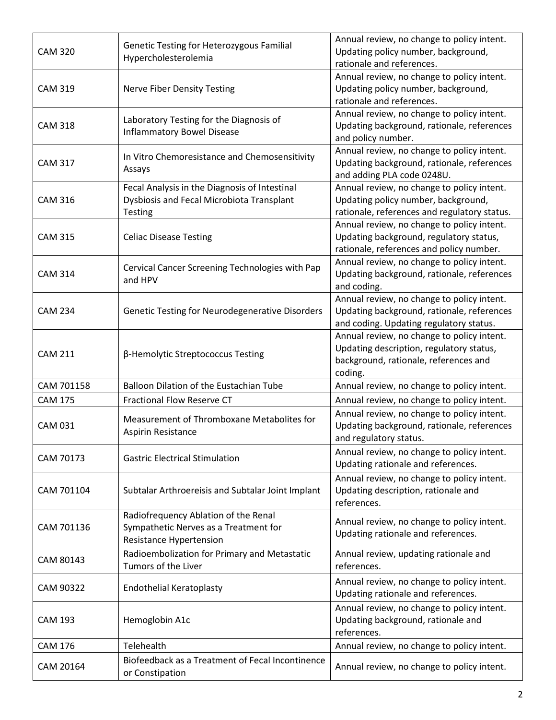| CAM 20164      | Biofeedback as a Treatment of Fecal Incontinence<br>or Constipation                                          | Annual review, no change to policy intent.                                                                                                 |
|----------------|--------------------------------------------------------------------------------------------------------------|--------------------------------------------------------------------------------------------------------------------------------------------|
| <b>CAM 176</b> | Telehealth                                                                                                   | Annual review, no change to policy intent.                                                                                                 |
| <b>CAM 193</b> | Hemoglobin A1c                                                                                               | Annual review, no change to policy intent.<br>Updating background, rationale and<br>references.                                            |
| CAM 90322      | <b>Endothelial Keratoplasty</b>                                                                              | Annual review, no change to policy intent.<br>Updating rationale and references.                                                           |
| CAM 80143      | Radioembolization for Primary and Metastatic<br>Tumors of the Liver                                          | Annual review, updating rationale and<br>references.                                                                                       |
| CAM 701136     | Radiofrequency Ablation of the Renal<br>Sympathetic Nerves as a Treatment for<br>Resistance Hypertension     | Annual review, no change to policy intent.<br>Updating rationale and references.                                                           |
| CAM 701104     | Subtalar Arthroereisis and Subtalar Joint Implant                                                            | Annual review, no change to policy intent.<br>Updating description, rationale and<br>references.                                           |
| CAM 70173      | <b>Gastric Electrical Stimulation</b>                                                                        | Annual review, no change to policy intent.<br>Updating rationale and references.                                                           |
| <b>CAM 031</b> | Measurement of Thromboxane Metabolites for<br>Aspirin Resistance                                             | Annual review, no change to policy intent.<br>Updating background, rationale, references<br>and regulatory status.                         |
| <b>CAM 175</b> | <b>Fractional Flow Reserve CT</b>                                                                            | Annual review, no change to policy intent.                                                                                                 |
| CAM 701158     | Balloon Dilation of the Eustachian Tube                                                                      | Annual review, no change to policy intent.                                                                                                 |
| <b>CAM 211</b> | β-Hemolytic Streptococcus Testing                                                                            | Annual review, no change to policy intent.<br>Updating description, regulatory status,<br>background, rationale, references and<br>coding. |
| <b>CAM 234</b> | Genetic Testing for Neurodegenerative Disorders                                                              | Annual review, no change to policy intent.<br>Updating background, rationale, references<br>and coding. Updating regulatory status.        |
| <b>CAM 314</b> | Cervical Cancer Screening Technologies with Pap<br>and HPV                                                   | Annual review, no change to policy intent.<br>Updating background, rationale, references<br>and coding.                                    |
| <b>CAM 315</b> | <b>Celiac Disease Testing</b>                                                                                | Annual review, no change to policy intent.<br>Updating background, regulatory status,<br>rationale, references and policy number.          |
| <b>CAM 316</b> | Fecal Analysis in the Diagnosis of Intestinal<br>Dysbiosis and Fecal Microbiota Transplant<br><b>Testing</b> | Annual review, no change to policy intent.<br>Updating policy number, background,<br>rationale, references and regulatory status.          |
| <b>CAM 317</b> | In Vitro Chemoresistance and Chemosensitivity<br>Assays                                                      | Annual review, no change to policy intent.<br>Updating background, rationale, references<br>and adding PLA code 0248U.                     |
| <b>CAM 318</b> | Laboratory Testing for the Diagnosis of<br><b>Inflammatory Bowel Disease</b>                                 | Annual review, no change to policy intent.<br>Updating background, rationale, references<br>and policy number.                             |
| <b>CAM 319</b> | Nerve Fiber Density Testing                                                                                  | Annual review, no change to policy intent.<br>Updating policy number, background,<br>rationale and references.                             |
| <b>CAM 320</b> | Genetic Testing for Heterozygous Familial<br>Hypercholesterolemia                                            | Annual review, no change to policy intent.<br>Updating policy number, background,<br>rationale and references.                             |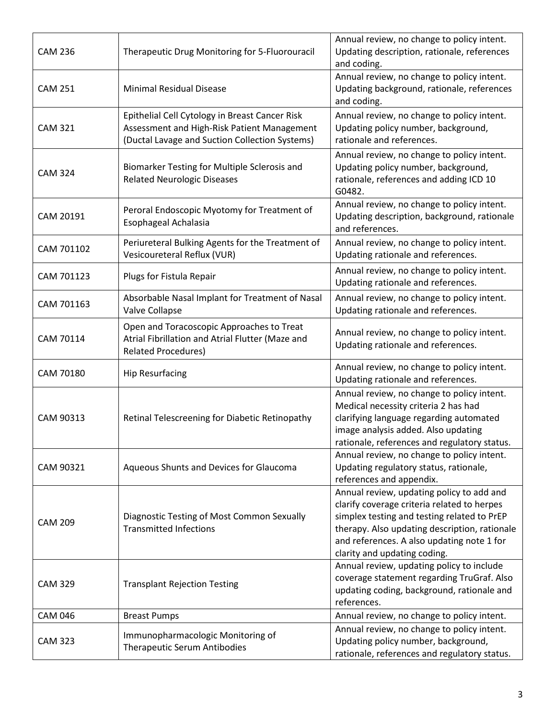| <b>CAM 236</b> | Therapeutic Drug Monitoring for 5-Fluorouracil                                                                                                  | Annual review, no change to policy intent.<br>Updating description, rationale, references<br>and coding.                                                                                                                                                               |
|----------------|-------------------------------------------------------------------------------------------------------------------------------------------------|------------------------------------------------------------------------------------------------------------------------------------------------------------------------------------------------------------------------------------------------------------------------|
| <b>CAM 251</b> | <b>Minimal Residual Disease</b>                                                                                                                 | Annual review, no change to policy intent.<br>Updating background, rationale, references<br>and coding.                                                                                                                                                                |
| <b>CAM 321</b> | Epithelial Cell Cytology in Breast Cancer Risk<br>Assessment and High-Risk Patient Management<br>(Ductal Lavage and Suction Collection Systems) | Annual review, no change to policy intent.<br>Updating policy number, background,<br>rationale and references.                                                                                                                                                         |
| <b>CAM 324</b> | Biomarker Testing for Multiple Sclerosis and<br><b>Related Neurologic Diseases</b>                                                              | Annual review, no change to policy intent.<br>Updating policy number, background,<br>rationale, references and adding ICD 10<br>G0482.                                                                                                                                 |
| CAM 20191      | Peroral Endoscopic Myotomy for Treatment of<br>Esophageal Achalasia                                                                             | Annual review, no change to policy intent.<br>Updating description, background, rationale<br>and references.                                                                                                                                                           |
| CAM 701102     | Periureteral Bulking Agents for the Treatment of<br>Vesicoureteral Reflux (VUR)                                                                 | Annual review, no change to policy intent.<br>Updating rationale and references.                                                                                                                                                                                       |
| CAM 701123     | Plugs for Fistula Repair                                                                                                                        | Annual review, no change to policy intent.<br>Updating rationale and references.                                                                                                                                                                                       |
| CAM 701163     | Absorbable Nasal Implant for Treatment of Nasal<br>Valve Collapse                                                                               | Annual review, no change to policy intent.<br>Updating rationale and references.                                                                                                                                                                                       |
| CAM 70114      | Open and Toracoscopic Approaches to Treat<br>Atrial Fibrillation and Atrial Flutter (Maze and<br><b>Related Procedures)</b>                     | Annual review, no change to policy intent.<br>Updating rationale and references.                                                                                                                                                                                       |
| CAM 70180      | <b>Hip Resurfacing</b>                                                                                                                          | Annual review, no change to policy intent.<br>Updating rationale and references.                                                                                                                                                                                       |
| CAM 90313      | Retinal Telescreening for Diabetic Retinopathy                                                                                                  | Annual review, no change to policy intent.<br>Medical necessity criteria 2 has had<br>clarifying language regarding automated<br>image analysis added. Also updating<br>rationale, references and regulatory status.                                                   |
| CAM 90321      | Aqueous Shunts and Devices for Glaucoma                                                                                                         | Annual review, no change to policy intent.<br>Updating regulatory status, rationale,<br>references and appendix.                                                                                                                                                       |
| <b>CAM 209</b> | Diagnostic Testing of Most Common Sexually<br><b>Transmitted Infections</b>                                                                     | Annual review, updating policy to add and<br>clarify coverage criteria related to herpes<br>simplex testing and testing related to PrEP<br>therapy. Also updating description, rationale<br>and references. A also updating note 1 for<br>clarity and updating coding. |
| <b>CAM 329</b> | <b>Transplant Rejection Testing</b>                                                                                                             | Annual review, updating policy to include<br>coverage statement regarding TruGraf. Also<br>updating coding, background, rationale and<br>references.                                                                                                                   |
| <b>CAM 046</b> | <b>Breast Pumps</b>                                                                                                                             | Annual review, no change to policy intent.                                                                                                                                                                                                                             |
| <b>CAM 323</b> | Immunopharmacologic Monitoring of<br>Therapeutic Serum Antibodies                                                                               | Annual review, no change to policy intent.<br>Updating policy number, background,<br>rationale, references and regulatory status.                                                                                                                                      |